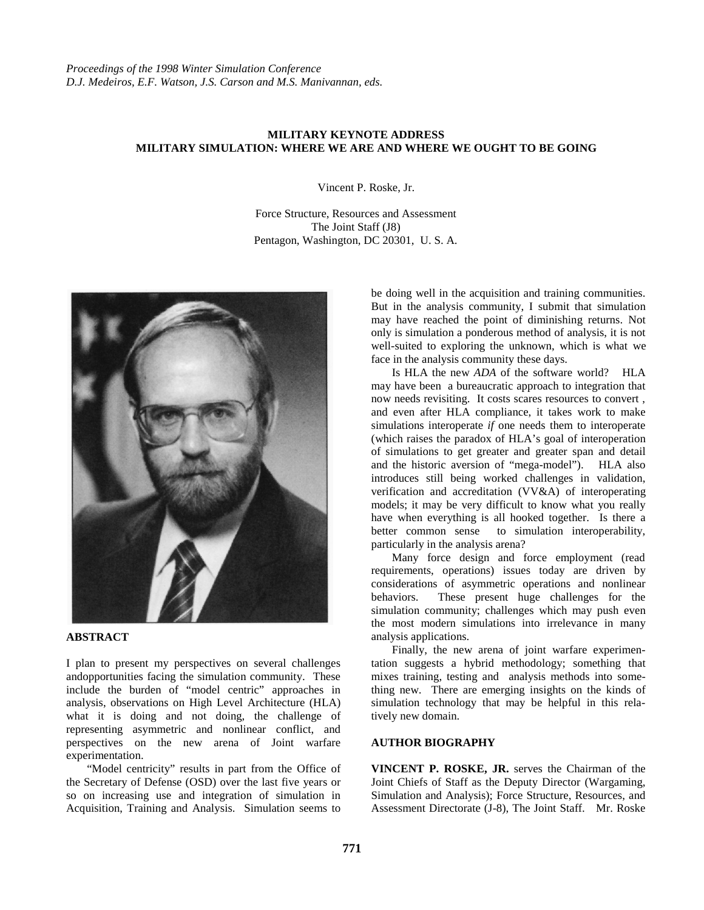## **MILITARY KEYNOTE ADDRESS MILITARY SIMULATION: WHERE WE ARE AND WHERE WE OUGHT TO BE GOING**

Vincent P. Roske, Jr.

Force Structure, Resources and Assessment The Joint Staff (J8) Pentagon, Washington, DC 20301, U. S. A.



## **ABSTRACT**

I plan to present my perspectives on several challenges andopportunities facing the simulation community. These include the burden of "model centric" approaches in analysis, observations on High Level Architecture (HLA) what it is doing and not doing, the challenge of representing asymmetric and nonlinear conflict, and perspectives on the new arena of Joint warfare experimentation.

"Model centricity" results in part from the Office of the Secretary of Defense (OSD) over the last five years or so on increasing use and integration of simulation in Acquisition, Training and Analysis. Simulation seems to

be doing well in the acquisition and training communities. But in the analysis community, I submit that simulation may have reached the point of diminishing returns. Not only is simulation a ponderous method of analysis, it is not well-suited to exploring the unknown, which is what we face in the analysis community these days.

Is HLA the new *ADA* of the software world? HLA may have been a bureaucratic approach to integration that now needs revisiting. It costs scares resources to convert , and even after HLA compliance, it takes work to make simulations interoperate *if* one needs them to interoperate (which raises the paradox of HLA's goal of interoperation of simulations to get greater and greater span and detail and the historic aversion of "mega-model"). HLA also introduces still being worked challenges in validation, verification and accreditation (VV&A) of interoperating models; it may be very difficult to know what you really have when everything is all hooked together. Is there a better common sense to simulation interoperability, particularly in the analysis arena?

Many force design and force employment (read requirements, operations) issues today are driven by considerations of asymmetric operations and nonlinear behaviors. These present huge challenges for the simulation community; challenges which may push even the most modern simulations into irrelevance in many analysis applications.

Finally, the new arena of joint warfare experimentation suggests a hybrid methodology; something that mixes training, testing and analysis methods into something new. There are emerging insights on the kinds of simulation technology that may be helpful in this relatively new domain.

## **AUTHOR BIOGRAPHY**

**VINCENT P. ROSKE, JR.** serves the Chairman of the Joint Chiefs of Staff as the Deputy Director (Wargaming, Simulation and Analysis); Force Structure, Resources, and Assessment Directorate (J-8), The Joint Staff. Mr. Roske